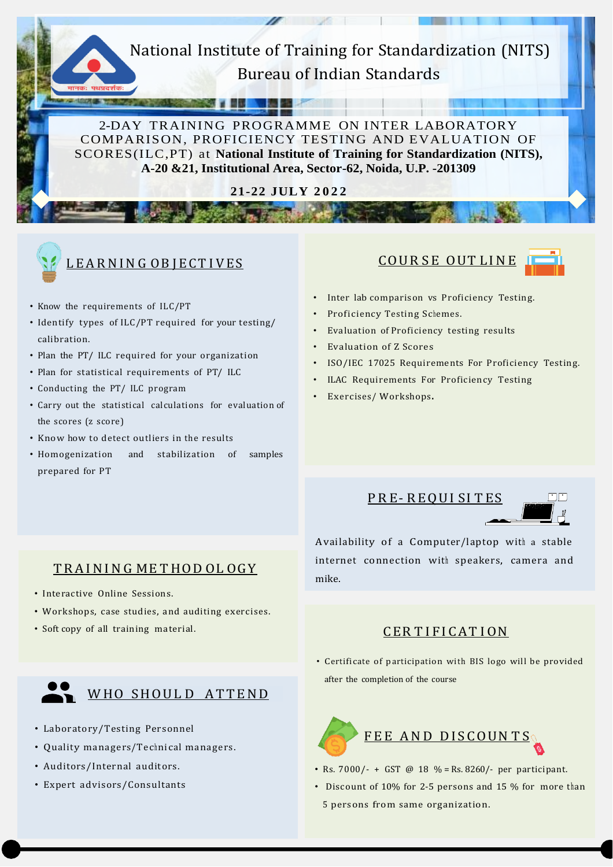## National Institute of Training for Standardization (NITS) Bureau of Indian Standards

**MAGES** 

2-DAY TRAINING PROGRAMME ON INTER LABORATORY COMPARISON, PROFICIENCY TESTING AND EVALUATION OF SCORES(ILC,PT) at **National Institute of Training for Standardization (NITS), A-20 &21, Institutional Area, Sector-62, Noida, U.P. -201309**

**21-22 JULY 2 0 2 2**

**There** 



## L E A R N I N G O B J E C T I V E S

- Know the requirements of ILC/PT
- Identify types of ILC/PT required for your testing/ calibration.
- Plan the PT/ ILC required for your organization
- Plan for statistical requirements of PT/ ILC
- Conducting the PT/ ILC program
- Carry out the statistical calculations for evaluation of the scores (z score)
- Know how to detect outliers in the results
- Homogenization and stabilization of samples prepared for PT





- Inter lab comparison vs Proficiency Testing.
- Proficiency Testing Schemes.
- Evaluation of Proficiency testing results
- Evaluation of Z Scores
- ISO/IEC 17025 Requirements For Proficiency Testing.
- **ILAC Requirements For Proficiency Testing**
- Exercises/ Workshops.

## TRAINING ME THOD OL OGY

- Interactive Online Sessions.
- Workshops, case studies, and auditing exercises.
- Soft copy of all training material.

# WHO SHOULD ATTEND

- Laboratory/Testing Personnel
- Quality managers/Technical managers.
- Auditors/Internal auditors.
- Expert advisors/Consultants

PR E- R EQUI SI T ES



Availability of a Computer/laptop with a stable internet connection with speakers, camera and mike.

#### CER TIFICATION

• Certificate of participation with BIS logo will be provided after the completion of the course



- Rs. 7000/- + GST @ 18 % = Rs. 8260/- per participant.
- Discount of 10% for 2-5 persons and 15 % for more than 5 persons from same organization.